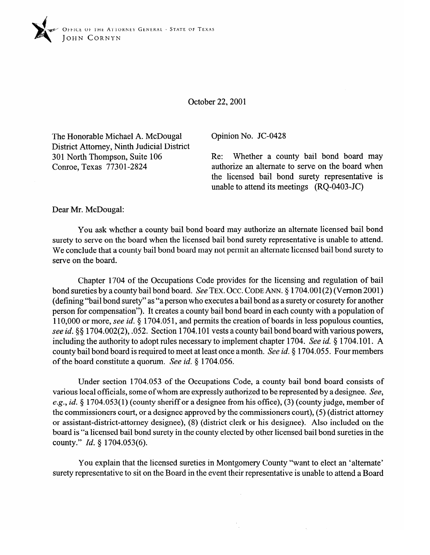

October 22,200l

The Honorable Michael A. McDougal District Attorney, Ninth Judicial District 301 North Thompson, Suite 106 Conroe, Texas 77301-2824

Opinion No. JC-0428

Re: Whether a county bail bond board may authorize an alternate to serve on the board when the licensed bail bond surety representative is unable to attend its meetings (RQ-0403-JC)

 $\sim$ 

Dear Mr. McDougal:

You ask whether a county bail bond board may authorize an alternate licensed bail bond surety to serve on the board when the licensed bail bond surety representative is unable to attend. We conclude that a county bail bond board may not permit an alternate licensed bail bond surety to serve on the board.

Chapter 1704 of the Occupations Code provides for the licensing and regulation of bail bond sureties by a county bail bond board. See TEX. OCC. CODE ANN. § 1704.001(2) (Vernon 2001) (defining "bail bond surety" as "a person who executes a bail bond as a surety or cosurety for another person for compensation"). It creates a county bail bond board in each county with a population of 110,000 or more, see id. § 1704.051, and permits the creation of boards in less populous counties, see id. §§ 1704.002(2), .052. Section 1704.101 vests a county bail bond board with various powers, including the authority to adopt rules necessary to implement chapter 1704. See *id.* § 1704.101. A county bail bond board is required to meet at least once a month. See *id.* § 1704.055. Four members of the board constitute a quorum. See *id. 5* 1704.056.

Under section 1704.053 of the Occupations Code, a county bail bond board consists of various local officials, some of whom are expressly authorized to be represented by a designee. See, e.g., *id.* § 1704.053(1) (county sheriff or a designee from his office), (3) (county judge, member of the commissioners court, or a designee approved by the commissioners court), (5) (district attorney or assistant-district-attorney designee), (8) (district clerk or his designee). Also included on the board is "a licensed bail bond surety in the county elected by other licensed bail bond sureties in the county." *Id.* § 1704.053(6).

You explain that the licensed sureties in Montgomery County "want to elect an 'alternate' surety representative to sit on the Board in the event their representative is unable to attend a Board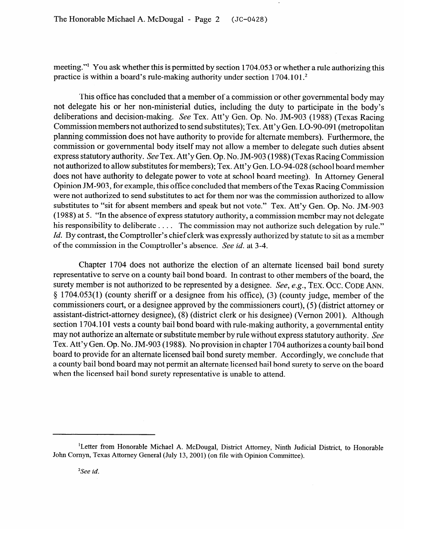meeting." You ask whether this is permitted by section 1704.053 or whether a rule authorizing this practice is within a board's rule-making authority under section 1704.101.<sup>2</sup>

This office has concluded that a member of a commission or other governmental body may not delegate his or her non-ministerial duties, including the duty to participate in the body's deliberations and decision-making. See Tex. Att'y Gen. Op. No. JM-903 (1988) (Texas Racing Commission members not authorized to send substitutes); Tex. Att'y Gen. LO-90-091 (metropolitan planning commission does not have authority to provide for alternate members). Furthermore, the cornmission or governmental body itself may not allow a member to delegate such duties absent express statutory authority. See Tex. Att'y Gen. Op. No. JM-903 (1988) (Texas Racing Commission not authorized to allow substitutes for members); Tex. Att'y Gen. LO-94-028 (school board member does not have authority to delegate power to vote at school board meeting). In Attorney General Opinion JM-903, for example, this office concluded that members of the Texas Racing Commission were not authorized to send substitutes to act for them nor was the commission authorized to allow substitutes to "sit for absent members and speak but not vote." Tex. Att'y Gen. Op. No. JM-903 (1988) at 5. "In the absence of express statutory authority, a commission member may not delegate his responsibility to deliberate  $\dots$ . The commission may not authorize such delegation by rule."  $\mu$  responsibility to defiberate  $\dots$ . The commission may not authorize such delegation by rule. *Id. By contrast, the Comptroller's chief clerk was expressly authorized by statute to sit as a member* of the commission in the Comptroller's absence. See *id.* at 3-4.

Chapter 1704 does not authorize the election of an alternate licensed bail bond surety representative to serve on a county bail bond board. In contrast to other members of the board, the surety member is not authorized to be represented by a designee. See, e.g., TEX. OCC. CODE ANN. § 1704.053(1) (county sheriff or a designee from his office), (3) (county judge, member of the commissioners court, or a designee approved by the commissioners court), (5) (district attorney or assistant-district-attorney designee), (8) (district clerk or his designee) (Vernon 2001). Although section 1704.101 vests a county bail bond board with rule-making authority, a governmental entity may not authorize an alternate or substitute member by rule without express statutory authority. See Tex. Att'y Gen. Op. No. JM-903 (1988). No provision in chapter 1704 authorizes a county bail bond board to provide for an alternate licensed bail bond surety member. Accordingly, we conclude that a county bail bond board may not permit an alternate licensed bail bond surety to serve on the board when the licensed bail bond surety representative is unable to attend. when the licensed bail bond surety representative is the license of the license of the license of the license of

<sup>&</sup>lt;sup>1</sup>Letter from Honorable Michael A. McDougal, District Attorney, Ninth Judicial District, to Honorable John Cornyn, Texas Attorney General (July 13, 2001) (on file with Opinion Committee).